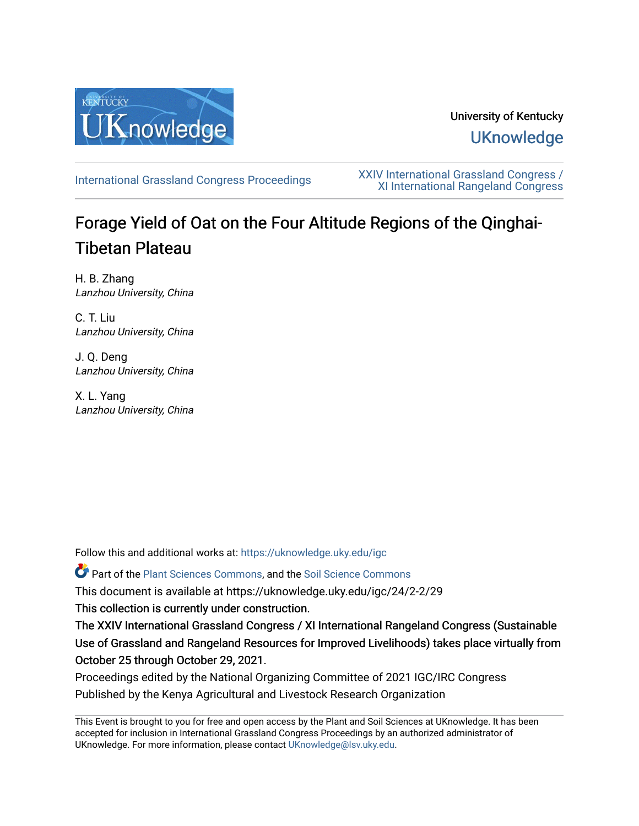

## University of Kentucky **UKnowledge**

[International Grassland Congress Proceedings](https://uknowledge.uky.edu/igc) [XXIV International Grassland Congress /](https://uknowledge.uky.edu/igc/24)  [XI International Rangeland Congress](https://uknowledge.uky.edu/igc/24) 

# Forage Yield of Oat on the Four Altitude Regions of the Qinghai-Tibetan Plateau

H. B. Zhang Lanzhou University, China

C. T. Liu Lanzhou University, China

J. Q. Deng Lanzhou University, China

X. L. Yang Lanzhou University, China

Follow this and additional works at: [https://uknowledge.uky.edu/igc](https://uknowledge.uky.edu/igc?utm_source=uknowledge.uky.edu%2Figc%2F24%2F2-2%2F29&utm_medium=PDF&utm_campaign=PDFCoverPages) 

Part of the [Plant Sciences Commons](http://network.bepress.com/hgg/discipline/102?utm_source=uknowledge.uky.edu%2Figc%2F24%2F2-2%2F29&utm_medium=PDF&utm_campaign=PDFCoverPages), and the [Soil Science Commons](http://network.bepress.com/hgg/discipline/163?utm_source=uknowledge.uky.edu%2Figc%2F24%2F2-2%2F29&utm_medium=PDF&utm_campaign=PDFCoverPages) 

This document is available at https://uknowledge.uky.edu/igc/24/2-2/29

This collection is currently under construction.

The XXIV International Grassland Congress / XI International Rangeland Congress (Sustainable Use of Grassland and Rangeland Resources for Improved Livelihoods) takes place virtually from October 25 through October 29, 2021.

Proceedings edited by the National Organizing Committee of 2021 IGC/IRC Congress Published by the Kenya Agricultural and Livestock Research Organization

This Event is brought to you for free and open access by the Plant and Soil Sciences at UKnowledge. It has been accepted for inclusion in International Grassland Congress Proceedings by an authorized administrator of UKnowledge. For more information, please contact [UKnowledge@lsv.uky.edu](mailto:UKnowledge@lsv.uky.edu).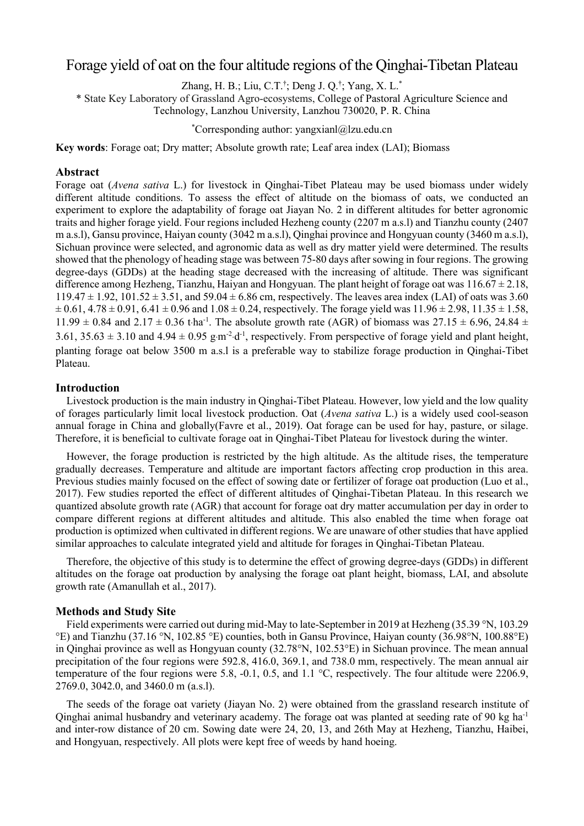### Forage yield of oat on the four altitude regions of the Qinghai-Tibetan Plateau

Zhang, H. B.; Liu, C.T.<sup>†</sup>; Deng J. Q.<sup>†</sup>; Yang, X. L.<sup>\*</sup>

\* State Key Laboratory of Grassland Agro-ecosystems, College of Pastoral Agriculture Science and Technology, Lanzhou University, Lanzhou 730020, P. R. China

\* Corresponding author: yangxianl@lzu.edu.cn

**Key words**: Forage oat; Dry matter; Absolute growth rate; Leaf area index (LAI); Biomass

#### **Abstract**

Forage oat (*Avena sativa* L.) for livestock in Qinghai-Tibet Plateau may be used biomass under widely different altitude conditions. To assess the effect of altitude on the biomass of oats, we conducted an experiment to explore the adaptability of forage oat Jiayan No. 2 in different altitudes for better agronomic traits and higher forage yield. Four regions included Hezheng county (2207 m a.s.l) and Tianzhu county (2407 m a.s.l), Gansu province, Haiyan county (3042 m a.s.l), Qinghai province and Hongyuan county (3460 m a.s.l), Sichuan province were selected, and agronomic data as well as dry matter yield were determined. The results showed that the phenology of heading stage was between 75-80 days after sowing in four regions. The growing degree-days (GDDs) at the heading stage decreased with the increasing of altitude. There was significant difference among Hezheng, Tianzhu, Haiyan and Hongyuan. The plant height of forage oat was  $116.67 \pm 2.18$ ,  $119.47 \pm 1.92$ ,  $101.52 \pm 3.51$ , and  $59.04 \pm 6.86$  cm, respectively. The leaves area index (LAI) of oats was 3.60  $\pm 0.61$ , 4.78  $\pm 0.91$ , 6.41  $\pm 0.96$  and 1.08  $\pm 0.24$ , respectively. The forage yield was  $11.96 \pm 2.98$ , 11.35  $\pm 1.58$ ,  $11.99 \pm 0.84$  and  $2.17 \pm 0.36$  t·ha<sup>-1</sup>. The absolute growth rate (AGR) of biomass was  $27.15 \pm 6.96$ ,  $24.84 \pm 0.05$ 3.61, 35.63  $\pm$  3.10 and 4.94  $\pm$  0.95 g m<sup>-2</sup> d<sup>-1</sup>, respectively. From perspective of forage yield and plant height, planting forage oat below 3500 m a.s.l is a preferable way to stabilize forage production in Qinghai-Tibet Plateau.

#### **Introduction**

Livestock production is the main industry in Qinghai-Tibet Plateau. However, low yield and the low quality of forages particularly limit local livestock production. Oat (*Avena sativa* L.) is a widely used cool-season annual forage in China and globally(Favre et al., 2019). Oat forage can be used for hay, pasture, or silage. Therefore, it is beneficial to cultivate forage oat in Qinghai-Tibet Plateau for livestock during the winter.

However, the forage production is restricted by the high altitude. As the altitude rises, the temperature gradually decreases. Temperature and altitude are important factors affecting crop production in this area. Previous studies mainly focused on the effect of sowing date or fertilizer of forage oat production (Luo et al., 2017). Few studies reported the effect of different altitudes of Qinghai-Tibetan Plateau. In this research we quantized absolute growth rate (AGR) that account for forage oat dry matter accumulation per day in order to compare different regions at different altitudes and altitude. This also enabled the time when forage oat production is optimized when cultivated in different regions. We are unaware of other studies that have applied similar approaches to calculate integrated yield and altitude for forages in Qinghai-Tibetan Plateau.

Therefore, the objective of this study is to determine the effect of growing degree-days (GDDs) in different altitudes on the forage oat production by analysing the forage oat plant height, biomass, LAI, and absolute growth rate (Amanullah et al., 2017).

#### **Methods and Study Site**

Field experiments were carried out during mid-May to late-September in 2019 at Hezheng (35.39 °N, 103.29 °E) and Tianzhu (37.16 °N, 102.85 °E) counties, both in Gansu Province, Haiyan county (36.98°N, 100.88°E) in Qinghai province as well as Hongyuan county (32.78°N, 102.53°E) in Sichuan province. The mean annual precipitation of the four regions were 592.8, 416.0, 369.1, and 738.0 mm, respectively. The mean annual air temperature of the four regions were 5.8, -0.1, 0.5, and 1.1 °C, respectively. The four altitude were 2206.9, 2769.0, 3042.0, and 3460.0 m (a.s.l).

The seeds of the forage oat variety (Jiayan No. 2) were obtained from the grassland research institute of Qinghai animal husbandry and veterinary academy. The forage oat was planted at seeding rate of 90 kg ha<sup>-1</sup> and inter-row distance of 20 cm. Sowing date were 24, 20, 13, and 26th May at Hezheng, Tianzhu, Haibei, and Hongyuan, respectively. All plots were kept free of weeds by hand hoeing.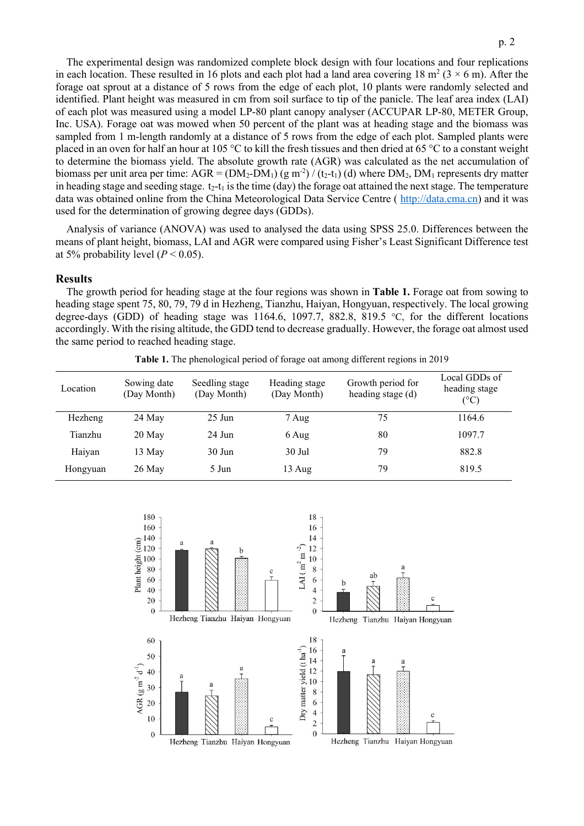p. 2

in each location. These resulted in 16 plots and each plot had a land area covering 18  $m^2$  (3  $\times$  6 m). After the forage oat sprout at a distance of 5 rows from the edge of each plot, 10 plants were randomly selected and identified. Plant height was measured in cm from soil surface to tip of the panicle. The leaf area index (LAI) of each plot was measured using a model LP-80 plant canopy analyser (ACCUPAR LP-80, METER Group, Inc. USA). Forage oat was mowed when 50 percent of the plant was at heading stage and the biomass was sampled from 1 m-length randomly at a distance of 5 rows from the edge of each plot. Sampled plants were placed in an oven for half an hour at 105 °C to kill the fresh tissues and then dried at 65 °C to a constant weight to determine the biomass yield. The absolute growth rate (AGR) was calculated as the net accumulation of biomass per unit area per time:  $AGR = (DM_2-DM_1) (g m^2) / (t_2-t_1) (d)$  where  $DM_2$ ,  $DM_1$  represents dry matter in heading stage and seeding stage.  $t_2-t_1$  is the time (day) the forage oat attained the next stage. The temperature data was obtained online from the China Meteorological Data Service Centre (http://data.cma.cn) and it was used for the determination of growing degree days (GDDs).

Analysis of variance (ANOVA) was used to analysed the data using SPSS 25.0. Differences between the means of plant height, biomass, LAI and AGR were compared using Fisher's Least Significant Difference test at 5% probability level  $(P < 0.05)$ .

#### **Results**

The growth period for heading stage at the four regions was shown in **Table 1.** Forage oat from sowing to heading stage spent 75, 80, 79, 79 d in Hezheng, Tianzhu, Haiyan, Hongyuan, respectively. The local growing degree-days (GDD) of heading stage was 1164.6, 1097.7, 882.8, 819.5 °C, for the different locations accordingly. With the rising altitude, the GDD tend to decrease gradually. However, the forage oat almost used the same period to reached heading stage.

**Table 1.** The phenological period of forage oat among different regions in 2019

| Location | Sowing date<br>(Day Month) | Seedling stage<br>(Day Month) | Heading stage<br>(Day Month) | Growth period for<br>heading stage (d) | Local GDDs of<br>heading stage<br>(°C) |
|----------|----------------------------|-------------------------------|------------------------------|----------------------------------------|----------------------------------------|
| Hezheng  | 24 May                     | $25$ Jun                      | 7 Aug                        | 75                                     | 1164.6                                 |
| Tianzhu  | 20 May                     | $24$ Jun                      | 6 Aug                        | 80                                     | 1097.7                                 |
| Haiyan   | 13 May                     | $30$ Jun                      | 30 Jul                       | 79                                     | 882.8                                  |
| Hongyuan | $26$ May                   | 5 Jun                         | 13 Aug                       | 79                                     | 819.5                                  |